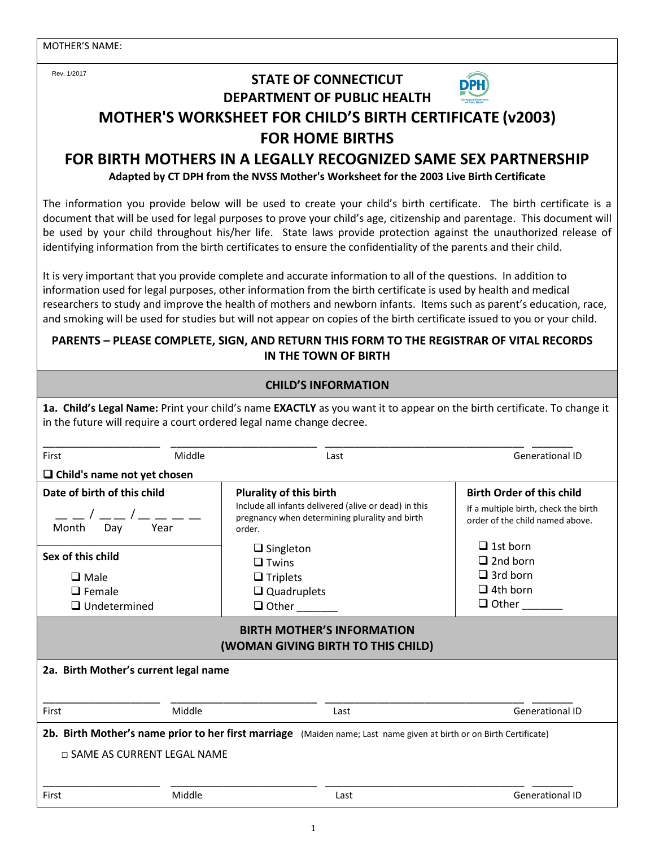Rev. 1/2017

### **STATE OF CONNECTICUT DEPARTMENT OF PUBLIC HEALTH**



## **MOTHER'S WORKSHEET FOR CHILD'S BIRTH CERTIFICATE (v2003) FOR HOME BIRTHS**

# **FOR BIRTH MOTHERS IN A LEGALLY RECOGNIZED SAME SEX PARTNERSHIP**

**Adapted by CT DPH from the NVSS Mother's Worksheet for the 2003 Live Birth Certificate**

The information you provide below will be used to create your child's birth certificate. The birth certificate is a document that will be used for legal purposes to prove your child's age, citizenship and parentage. This document will be used by your child throughout his/her life. State laws provide protection against the unauthorized release of identifying information from the birth certificates to ensure the confidentiality of the parents and their child.

It is very important that you provide complete and accurate information to all of the questions. In addition to information used for legal purposes, other information from the birth certificate is used by health and medical researchers to study and improve the health of mothers and newborn infants. Items such as parent's education, race, and smoking will be used for studies but will not appear on copies of the birth certificate issued to you or your child.

#### **PARENTS – PLEASE COMPLETE, SIGN, AND RETURN THIS FORM TO THE REGISTRAR OF VITAL RECORDS IN THE TOWN OF BIRTH**

| <b>CHILD'S INFORMATION</b>                                                                                                                                                                      |        |                                                                                                                                                                                                                                                  |                                                                                                                                                                                                         |  |  |
|-------------------------------------------------------------------------------------------------------------------------------------------------------------------------------------------------|--------|--------------------------------------------------------------------------------------------------------------------------------------------------------------------------------------------------------------------------------------------------|---------------------------------------------------------------------------------------------------------------------------------------------------------------------------------------------------------|--|--|
| 1a. Child's Legal Name: Print your child's name EXACTLY as you want it to appear on the birth certificate. To change it<br>in the future will require a court ordered legal name change decree. |        |                                                                                                                                                                                                                                                  |                                                                                                                                                                                                         |  |  |
| First                                                                                                                                                                                           | Middle | <b>Generational ID</b><br>Last                                                                                                                                                                                                                   |                                                                                                                                                                                                         |  |  |
| $\Box$ Child's name not yet chosen                                                                                                                                                              |        |                                                                                                                                                                                                                                                  |                                                                                                                                                                                                         |  |  |
| Date of birth of this child<br>Month Day<br>Year<br>Sex of this child<br>$\square$ Male<br>$\Box$ Female<br>$\Box$ Undetermined                                                                 |        | <b>Plurality of this birth</b><br>Include all infants delivered (alive or dead) in this<br>pregnancy when determining plurality and birth<br>order.<br>$\Box$ Singleton<br>$\Box$ Twins<br>$\Box$ Triplets<br>$\Box$ Quadruplets<br>$\Box$ Other | <b>Birth Order of this child</b><br>If a multiple birth, check the birth<br>order of the child named above.<br>$\Box$ 1st born<br>$\Box$ 2nd born<br>$\Box$ 3rd born<br>$\Box$ 4th born<br>$\Box$ Other |  |  |
| <b>BIRTH MOTHER'S INFORMATION</b><br>(WOMAN GIVING BIRTH TO THIS CHILD)                                                                                                                         |        |                                                                                                                                                                                                                                                  |                                                                                                                                                                                                         |  |  |
| 2a. Birth Mother's current legal name                                                                                                                                                           |        |                                                                                                                                                                                                                                                  |                                                                                                                                                                                                         |  |  |
| First                                                                                                                                                                                           | Middle | Last                                                                                                                                                                                                                                             | <b>Generational ID</b>                                                                                                                                                                                  |  |  |
| 2b. Birth Mother's name prior to her first marriage (Maiden name; Last name given at birth or on Birth Certificate)<br>$\Box$ SAME AS CURRENT LEGAL NAME                                        |        |                                                                                                                                                                                                                                                  |                                                                                                                                                                                                         |  |  |
| First                                                                                                                                                                                           | Middle | Last                                                                                                                                                                                                                                             | <b>Generational ID</b>                                                                                                                                                                                  |  |  |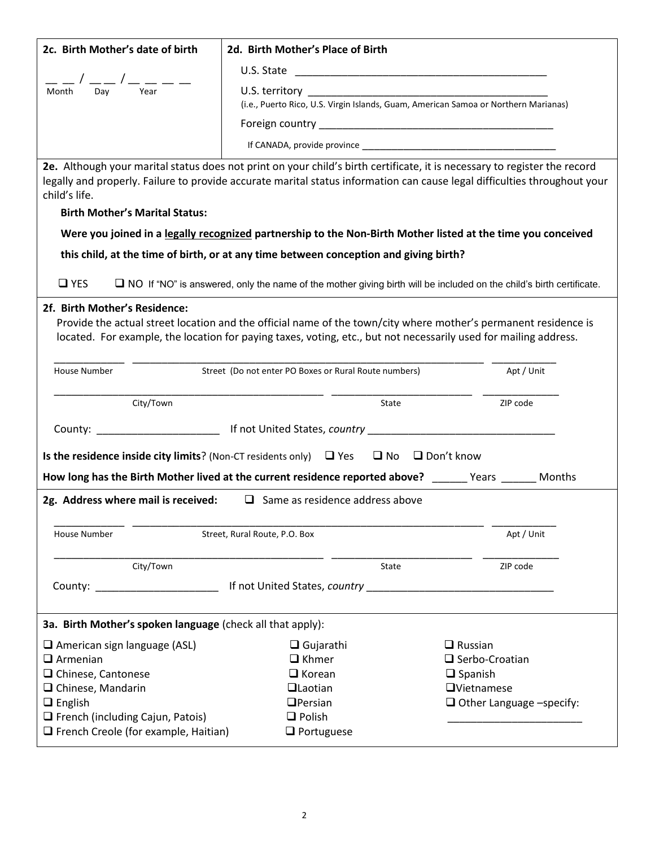| 2c. Birth Mother's date of birth                           | 2d. Birth Mother's Place of Birth                                                                    |                                                                                                                                                                                                                                                        |  |  |
|------------------------------------------------------------|------------------------------------------------------------------------------------------------------|--------------------------------------------------------------------------------------------------------------------------------------------------------------------------------------------------------------------------------------------------------|--|--|
|                                                            |                                                                                                      |                                                                                                                                                                                                                                                        |  |  |
| _/ __/_ __ _<br>Year<br>Dav<br>Month                       | (i.e., Puerto Rico, U.S. Virgin Islands, Guam, American Samoa or Northern Marianas)                  |                                                                                                                                                                                                                                                        |  |  |
|                                                            |                                                                                                      |                                                                                                                                                                                                                                                        |  |  |
|                                                            |                                                                                                      |                                                                                                                                                                                                                                                        |  |  |
| child's life.<br><b>Birth Mother's Marital Status:</b>     |                                                                                                      | 2e. Although your marital status does not print on your child's birth certificate, it is necessary to register the record<br>legally and properly. Failure to provide accurate marital status information can cause legal difficulties throughout your |  |  |
|                                                            |                                                                                                      |                                                                                                                                                                                                                                                        |  |  |
|                                                            |                                                                                                      | Were you joined in a legally recognized partnership to the Non-Birth Mother listed at the time you conceived                                                                                                                                           |  |  |
|                                                            | this child, at the time of birth, or at any time between conception and giving birth?                |                                                                                                                                                                                                                                                        |  |  |
| $\Box$ YES                                                 |                                                                                                      | □ NO If "NO" is answered, only the name of the mother giving birth will be included on the child's birth certificate.                                                                                                                                  |  |  |
| 2f. Birth Mother's Residence:                              |                                                                                                      | Provide the actual street location and the official name of the town/city where mother's permanent residence is<br>located. For example, the location for paying taxes, voting, etc., but not necessarily used for mailing address.                    |  |  |
| House Number                                               | Street (Do not enter PO Boxes or Rural Route numbers)                                                | Apt / Unit                                                                                                                                                                                                                                             |  |  |
|                                                            |                                                                                                      |                                                                                                                                                                                                                                                        |  |  |
| City/Town                                                  | State                                                                                                | ZIP code                                                                                                                                                                                                                                               |  |  |
|                                                            |                                                                                                      |                                                                                                                                                                                                                                                        |  |  |
|                                                            | Is the residence inside city limits? (Non-CT residents only) $\Box$ Yes $\Box$ No $\Box$ Don't know  |                                                                                                                                                                                                                                                        |  |  |
|                                                            |                                                                                                      |                                                                                                                                                                                                                                                        |  |  |
|                                                            |                                                                                                      |                                                                                                                                                                                                                                                        |  |  |
|                                                            |                                                                                                      | How long has the Birth Mother lived at the current residence reported above? _______ Years _______ Months                                                                                                                                              |  |  |
| 2g. Address where mail is received:                        | $\Box$ Same as residence address above                                                               |                                                                                                                                                                                                                                                        |  |  |
| House Number                                               | Street, Rural Route, P.O. Box                                                                        | Apt / Unit                                                                                                                                                                                                                                             |  |  |
|                                                            |                                                                                                      |                                                                                                                                                                                                                                                        |  |  |
| City/Town                                                  | <b>State</b>                                                                                         | ZIP code                                                                                                                                                                                                                                               |  |  |
|                                                            | County: ________________________________ If not United States, country _____________________________ |                                                                                                                                                                                                                                                        |  |  |
|                                                            |                                                                                                      |                                                                                                                                                                                                                                                        |  |  |
| 3a. Birth Mother's spoken language (check all that apply): |                                                                                                      |                                                                                                                                                                                                                                                        |  |  |
| $\Box$ American sign language (ASL)                        | $\Box$ Gujarathi                                                                                     | $\Box$ Russian                                                                                                                                                                                                                                         |  |  |
| $\Box$ Armenian                                            | $\Box$ Khmer                                                                                         | $\Box$ Serbo-Croatian                                                                                                                                                                                                                                  |  |  |
| □ Chinese, Cantonese                                       | $\Box$ Korean<br>$\Box$ Laotian                                                                      | $\Box$ Spanish<br>$\Box$ Vietnamese                                                                                                                                                                                                                    |  |  |
| $\Box$ Chinese, Mandarin                                   |                                                                                                      |                                                                                                                                                                                                                                                        |  |  |
| $\Box$ English<br>$\Box$ French (including Cajun, Patois)  | $D$ Persian<br>$\Box$ Polish                                                                         | $\Box$ Other Language -specify:                                                                                                                                                                                                                        |  |  |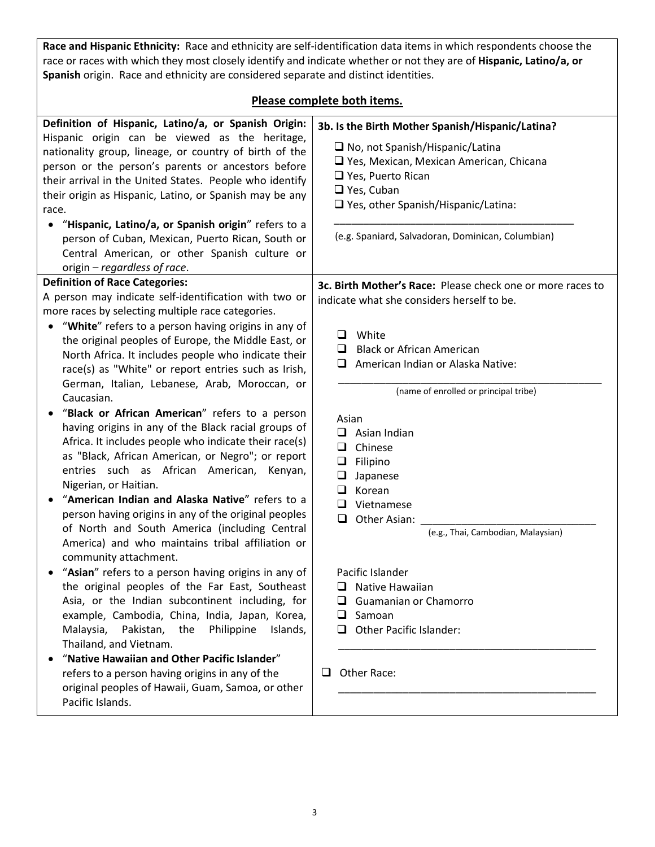**Race and Hispanic Ethnicity:** Race and ethnicity are self-identification data items in which respondents choose the race or races with which they most closely identify and indicate whether or not they are of **Hispanic, Latino/a, or Spanish** origin. Race and ethnicity are considered separate and distinct identities.

#### **Please complete both items.**

| Definition of Hispanic, Latino/a, or Spanish Origin:<br>Hispanic origin can be viewed as the heritage,<br>nationality group, lineage, or country of birth of the<br>person or the person's parents or ancestors before<br>their arrival in the United States. People who identify<br>their origin as Hispanic, Latino, or Spanish may be any<br>race.<br>"Hispanic, Latino/a, or Spanish origin" refers to a<br>person of Cuban, Mexican, Puerto Rican, South or<br>Central American, or other Spanish culture or<br>origin – regardless of race.                                                                                                                                                                                                                                                                             | 3b. Is the Birth Mother Spanish/Hispanic/Latina?<br>$\Box$ No, not Spanish/Hispanic/Latina<br>□ Yes, Mexican, Mexican American, Chicana<br>$\Box$ Yes, Puerto Rican<br>$\Box$ Yes, Cuban<br>$\Box$ Yes, other Spanish/Hispanic/Latina:<br>(e.g. Spaniard, Salvadoran, Dominican, Columbian)                                |
|-------------------------------------------------------------------------------------------------------------------------------------------------------------------------------------------------------------------------------------------------------------------------------------------------------------------------------------------------------------------------------------------------------------------------------------------------------------------------------------------------------------------------------------------------------------------------------------------------------------------------------------------------------------------------------------------------------------------------------------------------------------------------------------------------------------------------------|----------------------------------------------------------------------------------------------------------------------------------------------------------------------------------------------------------------------------------------------------------------------------------------------------------------------------|
| <b>Definition of Race Categories:</b>                                                                                                                                                                                                                                                                                                                                                                                                                                                                                                                                                                                                                                                                                                                                                                                         | 3c. Birth Mother's Race: Please check one or more races to                                                                                                                                                                                                                                                                 |
| A person may indicate self-identification with two or                                                                                                                                                                                                                                                                                                                                                                                                                                                                                                                                                                                                                                                                                                                                                                         | indicate what she considers herself to be.                                                                                                                                                                                                                                                                                 |
| more races by selecting multiple race categories.                                                                                                                                                                                                                                                                                                                                                                                                                                                                                                                                                                                                                                                                                                                                                                             |                                                                                                                                                                                                                                                                                                                            |
| "White" refers to a person having origins in any of<br>the original peoples of Europe, the Middle East, or<br>North Africa. It includes people who indicate their<br>race(s) as "White" or report entries such as Irish,<br>German, Italian, Lebanese, Arab, Moroccan, or<br>Caucasian.<br>"Black or African American" refers to a person<br>having origins in any of the Black racial groups of<br>Africa. It includes people who indicate their race(s)<br>as "Black, African American, or Negro"; or report<br>entries such as African American, Kenyan,<br>Nigerian, or Haitian.<br>"American Indian and Alaska Native" refers to a<br>person having origins in any of the original peoples<br>of North and South America (including Central<br>America) and who maintains tribal affiliation or<br>community attachment. | White<br>□<br><b>Black or African American</b><br>⊔<br>American Indian or Alaska Native:<br>ப<br>(name of enrolled or principal tribe)<br>Asian<br>$\Box$ Asian Indian<br>Chinese<br>□<br>□<br>Filipino<br>❏<br>Japanese<br>$\Box$<br>Korean<br>Vietnamese<br>ப<br>□<br>Other Asian:<br>(e.g., Thai, Cambodian, Malaysian) |
| "Asian" refers to a person having origins in any of                                                                                                                                                                                                                                                                                                                                                                                                                                                                                                                                                                                                                                                                                                                                                                           | Pacific Islander                                                                                                                                                                                                                                                                                                           |
| the original peoples of the Far East, Southeast                                                                                                                                                                                                                                                                                                                                                                                                                                                                                                                                                                                                                                                                                                                                                                               | $\Box$ Native Hawaiian                                                                                                                                                                                                                                                                                                     |
| Asia, or the Indian subcontinent including, for                                                                                                                                                                                                                                                                                                                                                                                                                                                                                                                                                                                                                                                                                                                                                                               | Guamanian or Chamorro<br>ப                                                                                                                                                                                                                                                                                                 |
| example, Cambodia, China, India, Japan, Korea,                                                                                                                                                                                                                                                                                                                                                                                                                                                                                                                                                                                                                                                                                                                                                                                | Samoan<br>□                                                                                                                                                                                                                                                                                                                |
|                                                                                                                                                                                                                                                                                                                                                                                                                                                                                                                                                                                                                                                                                                                                                                                                                               |                                                                                                                                                                                                                                                                                                                            |
|                                                                                                                                                                                                                                                                                                                                                                                                                                                                                                                                                                                                                                                                                                                                                                                                                               |                                                                                                                                                                                                                                                                                                                            |
|                                                                                                                                                                                                                                                                                                                                                                                                                                                                                                                                                                                                                                                                                                                                                                                                                               |                                                                                                                                                                                                                                                                                                                            |
| refers to a person having origins in any of the<br>original peoples of Hawaii, Guam, Samoa, or other<br>Pacific Islands.                                                                                                                                                                                                                                                                                                                                                                                                                                                                                                                                                                                                                                                                                                      | Other Race:                                                                                                                                                                                                                                                                                                                |
| Malaysia,<br>Pakistan, the<br>Philippine<br>Islands,<br>Thailand, and Vietnam.<br>"Native Hawaiian and Other Pacific Islander"                                                                                                                                                                                                                                                                                                                                                                                                                                                                                                                                                                                                                                                                                                | Other Pacific Islander:<br>□                                                                                                                                                                                                                                                                                               |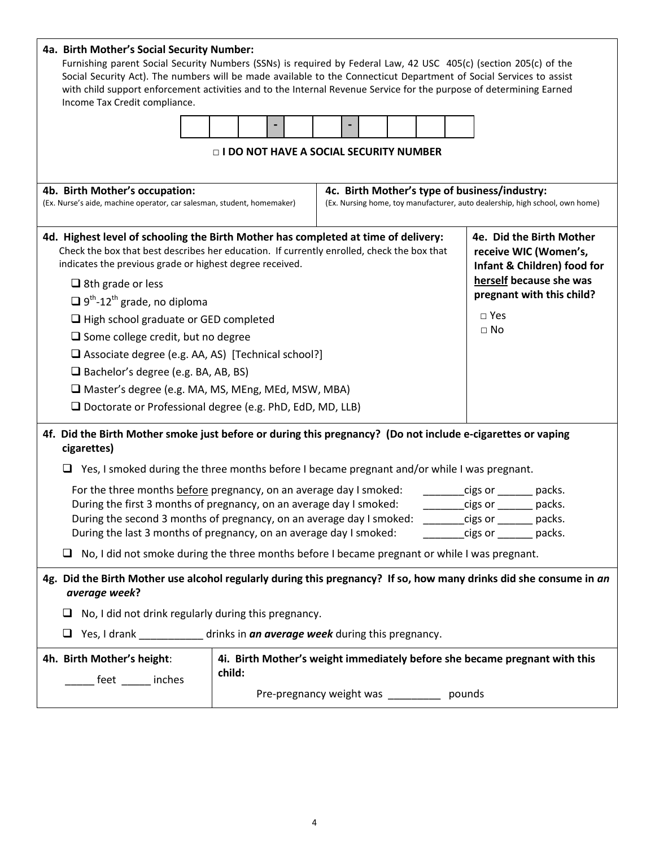| 4a. Birth Mother's Social Security Number:<br>Furnishing parent Social Security Numbers (SSNs) is required by Federal Law, 42 USC 405(c) (section 205(c) of the<br>Social Security Act). The numbers will be made available to the Connecticut Department of Social Services to assist<br>with child support enforcement activities and to the Internal Revenue Service for the purpose of determining Earned<br>Income Tax Credit compliance.<br>□ I DO NOT HAVE A SOCIAL SECURITY NUMBER                                                                                                                                                                                                                                                                                                                                                      |  |  |  |                                                                                                                               |  |
|-------------------------------------------------------------------------------------------------------------------------------------------------------------------------------------------------------------------------------------------------------------------------------------------------------------------------------------------------------------------------------------------------------------------------------------------------------------------------------------------------------------------------------------------------------------------------------------------------------------------------------------------------------------------------------------------------------------------------------------------------------------------------------------------------------------------------------------------------|--|--|--|-------------------------------------------------------------------------------------------------------------------------------|--|
| 4b. Birth Mother's occupation:<br>(Ex. Nurse's aide, machine operator, car salesman, student, homemaker)                                                                                                                                                                                                                                                                                                                                                                                                                                                                                                                                                                                                                                                                                                                                        |  |  |  | 4c. Birth Mother's type of business/industry:<br>(Ex. Nursing home, toy manufacturer, auto dealership, high school, own home) |  |
| 4e. Did the Birth Mother<br>4d. Highest level of schooling the Birth Mother has completed at time of delivery:<br>Check the box that best describes her education. If currently enrolled, check the box that<br>receive WIC (Women's,<br>indicates the previous grade or highest degree received.<br>Infant & Children) food for<br>herself because she was<br>$\Box$ 8th grade or less<br>pregnant with this child?<br>$\Box$ 9 <sup>th</sup> -12 <sup>th</sup> grade, no diploma<br>$\square$ Yes<br>$\Box$ High school graduate or GED completed<br>$\Box$ No<br>$\Box$ Some college credit, but no degree<br>□ Associate degree (e.g. AA, AS) [Technical school?]<br>$\Box$ Bachelor's degree (e.g. BA, AB, BS)<br>□ Master's degree (e.g. MA, MS, MEng, MEd, MSW, MBA)<br>$\Box$ Doctorate or Professional degree (e.g. PhD, EdD, MD, LLB) |  |  |  |                                                                                                                               |  |
| 4f. Did the Birth Mother smoke just before or during this pregnancy? (Do not include e-cigarettes or vaping<br>cigarettes)<br>$\Box$ Yes, I smoked during the three months before I became pregnant and/or while I was pregnant.<br>For the three months before pregnancy, on an average day I smoked:<br>cigs or ________ packs.<br>During the first 3 months of pregnancy, on an average day I smoked:<br>cigs or _______ packs.<br>During the second 3 months of pregnancy, on an average day I smoked:<br>cigs or _________ packs.<br>During the last 3 months of pregnancy, on an average day I smoked:<br>cigs or the packs.<br>No, I did not smoke during the three months before I became pregnant or while I was pregnant.                                                                                                             |  |  |  |                                                                                                                               |  |
| 4g. Did the Birth Mother use alcohol regularly during this pregnancy? If so, how many drinks did she consume in an<br>average week?<br>No, I did not drink regularly during this pregnancy.<br>Yes, I drank ______________ drinks in an average week during this pregnancy.<br>4i. Birth Mother's weight immediately before she became pregnant with this<br>4h. Birth Mother's height:<br>child:<br>__ feet _____ inches<br>Pre-pregnancy weight was ___________ pounds                                                                                                                                                                                                                                                                                                                                                                        |  |  |  |                                                                                                                               |  |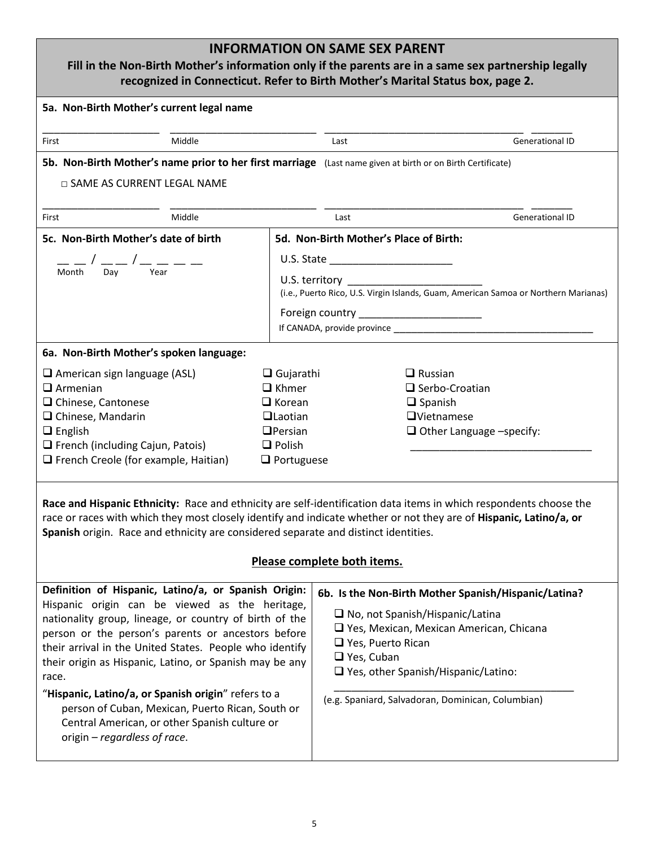## **INFORMATION ON SAME SEX PARENT**

#### **Fill in the Non-Birth Mother's information only if the parents are in a same sex partnership legally recognized in Connecticut. Refer to Birth Mother's Marital Status box, page 2.**

|                                                                                                                                                                                                                                                                                                                                                                                                                                                                                                                                                   |        |                                                                                                                                                 |                                                                                                                                                                                                                                                | דכנטגווובכט ווו כטווווכנוונטנ. וזכוכו נט טוונוו ואוטנווכו s ואומרונמו אנמנט אטג, page ב. |                        |
|---------------------------------------------------------------------------------------------------------------------------------------------------------------------------------------------------------------------------------------------------------------------------------------------------------------------------------------------------------------------------------------------------------------------------------------------------------------------------------------------------------------------------------------------------|--------|-------------------------------------------------------------------------------------------------------------------------------------------------|------------------------------------------------------------------------------------------------------------------------------------------------------------------------------------------------------------------------------------------------|------------------------------------------------------------------------------------------|------------------------|
| 5a. Non-Birth Mother's current legal name                                                                                                                                                                                                                                                                                                                                                                                                                                                                                                         |        |                                                                                                                                                 |                                                                                                                                                                                                                                                |                                                                                          |                        |
| First                                                                                                                                                                                                                                                                                                                                                                                                                                                                                                                                             | Middle |                                                                                                                                                 | Last                                                                                                                                                                                                                                           |                                                                                          | <b>Generational ID</b> |
| 5b. Non-Birth Mother's name prior to her first marriage (Last name given at birth or on Birth Certificate)<br>□ SAME AS CURRENT LEGAL NAME                                                                                                                                                                                                                                                                                                                                                                                                        |        |                                                                                                                                                 |                                                                                                                                                                                                                                                |                                                                                          |                        |
| First                                                                                                                                                                                                                                                                                                                                                                                                                                                                                                                                             | Middle |                                                                                                                                                 | Last                                                                                                                                                                                                                                           |                                                                                          | <b>Generational ID</b> |
| 5c. Non-Birth Mother's date of birth<br>__ / __ __ / __ __ __ __<br>nth  Day   Year<br>Month                                                                                                                                                                                                                                                                                                                                                                                                                                                      |        | 5d. Non-Birth Mother's Place of Birth:<br>U.S. territory<br>(i.e., Puerto Rico, U.S. Virgin Islands, Guam, American Samoa or Northern Marianas) |                                                                                                                                                                                                                                                |                                                                                          |                        |
| 6a. Non-Birth Mother's spoken language:                                                                                                                                                                                                                                                                                                                                                                                                                                                                                                           |        |                                                                                                                                                 |                                                                                                                                                                                                                                                |                                                                                          |                        |
| $\Box$ American sign language (ASL)<br>$\Box$ Khmer<br>$\Box$ Armenian<br>$\Box$ Chinese, Cantonese<br>$\Box$ Chinese, Mandarin<br>$\Box$ English<br>French (including Cajun, Patois)<br>$\Box$ Polish<br>$\Box$ French Creole (for example, Haitian)                                                                                                                                                                                                                                                                                             |        | $\Box$ Gujarathi<br>$\Box$ Korean<br><b>QLaotian</b><br>$D$ Persian<br>$\Box$ Portuguese                                                        | $\Box$ Russian<br>$\Box$ Serbo-Croatian<br>$\Box$ Spanish<br>$\Box$ Vietnamese<br>$\Box$ Other Language -specify:                                                                                                                              |                                                                                          |                        |
| Race and Hispanic Ethnicity: Race and ethnicity are self-identification data items in which respondents choose the<br>race or races with which they most closely identify and indicate whether or not they are of Hispanic, Latino/a, or<br>Spanish origin. Race and ethnicity are considered separate and distinct identities.<br><b>Please complete both items</b>                                                                                                                                                                              |        |                                                                                                                                                 |                                                                                                                                                                                                                                                |                                                                                          |                        |
| Definition of Hispanic, Latino/a, or Spanish Origin:<br>Hispanic origin can be viewed as the heritage,<br>nationality group, lineage, or country of birth of the<br>person or the person's parents or ancestors before<br>their arrival in the United States. People who identify<br>their origin as Hispanic, Latino, or Spanish may be any<br>race.<br>"Hispanic, Latino/a, or Spanish origin" refers to a<br>person of Cuban, Mexican, Puerto Rican, South or<br>Central American, or other Spanish culture or<br>origin - regardless of race. |        | $\Box$ Yes, Puerto Rican<br>$\Box$ Yes, Cuban                                                                                                   | 6b. Is the Non-Birth Mother Spanish/Hispanic/Latina?<br>$\Box$ No, not Spanish/Hispanic/Latina<br>□ Yes, Mexican, Mexican American, Chicana<br>$\Box$ Yes, other Spanish/Hispanic/Latino:<br>(e.g. Spaniard, Salvadoran, Dominican, Columbian) |                                                                                          |                        |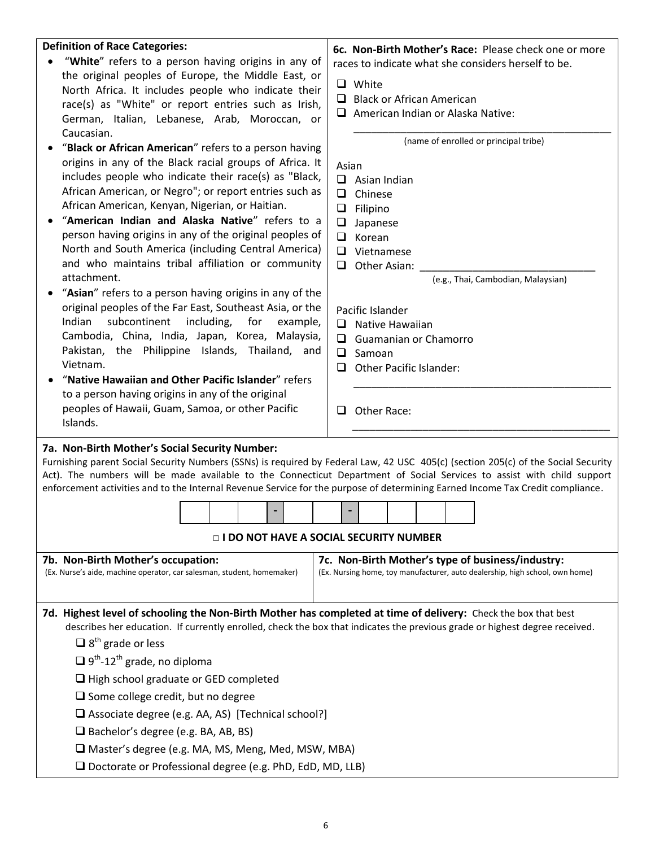| <b>Definition of Race Categories:</b><br>"White" refers to a person having origins in any of                                   |                                                                                                                                   |  |  |  |
|--------------------------------------------------------------------------------------------------------------------------------|-----------------------------------------------------------------------------------------------------------------------------------|--|--|--|
|                                                                                                                                | 6c. Non-Birth Mother's Race: Please check one or more                                                                             |  |  |  |
|                                                                                                                                | races to indicate what she considers herself to be.                                                                               |  |  |  |
| the original peoples of Europe, the Middle East, or<br>North Africa. It includes people who indicate their                     | $\Box$ White                                                                                                                      |  |  |  |
| race(s) as "White" or report entries such as Irish,                                                                            | $\Box$ Black or African American                                                                                                  |  |  |  |
| German, Italian, Lebanese, Arab, Moroccan, or                                                                                  | $\Box$ American Indian or Alaska Native:                                                                                          |  |  |  |
| Caucasian.                                                                                                                     |                                                                                                                                   |  |  |  |
| "Black or African American" refers to a person having                                                                          | (name of enrolled or principal tribe)                                                                                             |  |  |  |
| origins in any of the Black racial groups of Africa. It                                                                        | Asian                                                                                                                             |  |  |  |
| includes people who indicate their race(s) as "Black,                                                                          | $\Box$ Asian Indian                                                                                                               |  |  |  |
| African American, or Negro"; or report entries such as                                                                         | $\Box$<br>Chinese                                                                                                                 |  |  |  |
| African American, Kenyan, Nigerian, or Haitian.                                                                                | $\Box$ Filipino                                                                                                                   |  |  |  |
| "American Indian and Alaska Native" refers to a                                                                                | $\Box$<br>Japanese                                                                                                                |  |  |  |
| person having origins in any of the original peoples of                                                                        | Korean<br>□                                                                                                                       |  |  |  |
| North and South America (including Central America)                                                                            | $\Box$ Vietnamese                                                                                                                 |  |  |  |
| and who maintains tribal affiliation or community                                                                              | $\Box$<br>Other Asian:                                                                                                            |  |  |  |
| attachment.                                                                                                                    | (e.g., Thai, Cambodian, Malaysian)                                                                                                |  |  |  |
| "Asian" refers to a person having origins in any of the                                                                        |                                                                                                                                   |  |  |  |
| original peoples of the Far East, Southeast Asia, or the                                                                       | Pacific Islander                                                                                                                  |  |  |  |
| including,<br>Indian<br>subcontinent<br>for<br>example,                                                                        | □<br>Native Hawaiian                                                                                                              |  |  |  |
| Cambodia, China, India, Japan, Korea, Malaysia,                                                                                | Guamanian or Chamorro<br>ப                                                                                                        |  |  |  |
| Pakistan, the Philippine Islands, Thailand, and<br>Vietnam.                                                                    | □<br>Samoan                                                                                                                       |  |  |  |
| "Native Hawaiian and Other Pacific Islander" refers                                                                            | Other Pacific Islander:<br>□                                                                                                      |  |  |  |
| to a person having origins in any of the original                                                                              |                                                                                                                                   |  |  |  |
| peoples of Hawaii, Guam, Samoa, or other Pacific                                                                               | Other Race:<br>□                                                                                                                  |  |  |  |
| Islands.                                                                                                                       |                                                                                                                                   |  |  |  |
|                                                                                                                                |                                                                                                                                   |  |  |  |
| 7a. Non-Birth Mother's Social Security Number:                                                                                 |                                                                                                                                   |  |  |  |
|                                                                                                                                |                                                                                                                                   |  |  |  |
|                                                                                                                                | Furnishing parent Social Security Numbers (SSNs) is required by Federal Law, 42 USC 405(c) (section 205(c) of the Social Security |  |  |  |
|                                                                                                                                | Act). The numbers will be made available to the Connecticut Department of Social Services to assist with child support            |  |  |  |
| enforcement activities and to the Internal Revenue Service for the purpose of determining Earned Income Tax Credit compliance. |                                                                                                                                   |  |  |  |
|                                                                                                                                |                                                                                                                                   |  |  |  |
|                                                                                                                                | □ I DO NOT HAVE A SOCIAL SECURITY NUMBER                                                                                          |  |  |  |
| 7b. Non-Birth Mother's occupation:                                                                                             | 7c. Non-Birth Mother's type of business/industry:                                                                                 |  |  |  |
| (Ex. Nurse's aide, machine operator, car salesman, student, homemaker)                                                         | (Ex. Nursing home, toy manufacturer, auto dealership, high school, own home)                                                      |  |  |  |
|                                                                                                                                |                                                                                                                                   |  |  |  |
|                                                                                                                                |                                                                                                                                   |  |  |  |
| 7d. Highest level of schooling the Non-Birth Mother has completed at time of delivery: Check the box that best                 | describes her education. If currently enrolled, check the box that indicates the previous grade or highest degree received.       |  |  |  |
| $\Box$ 8 <sup>th</sup> grade or less                                                                                           |                                                                                                                                   |  |  |  |
| $\Box$ 9 <sup>th</sup> -12 <sup>th</sup> grade, no diploma                                                                     |                                                                                                                                   |  |  |  |
| $\Box$ High school graduate or GED completed                                                                                   |                                                                                                                                   |  |  |  |
| $\Box$ Some college credit, but no degree                                                                                      |                                                                                                                                   |  |  |  |
| □ Associate degree (e.g. AA, AS) [Technical school?]                                                                           |                                                                                                                                   |  |  |  |
| $\Box$ Bachelor's degree (e.g. BA, AB, BS)                                                                                     |                                                                                                                                   |  |  |  |
| □ Master's degree (e.g. MA, MS, Meng, Med, MSW, MBA)                                                                           |                                                                                                                                   |  |  |  |